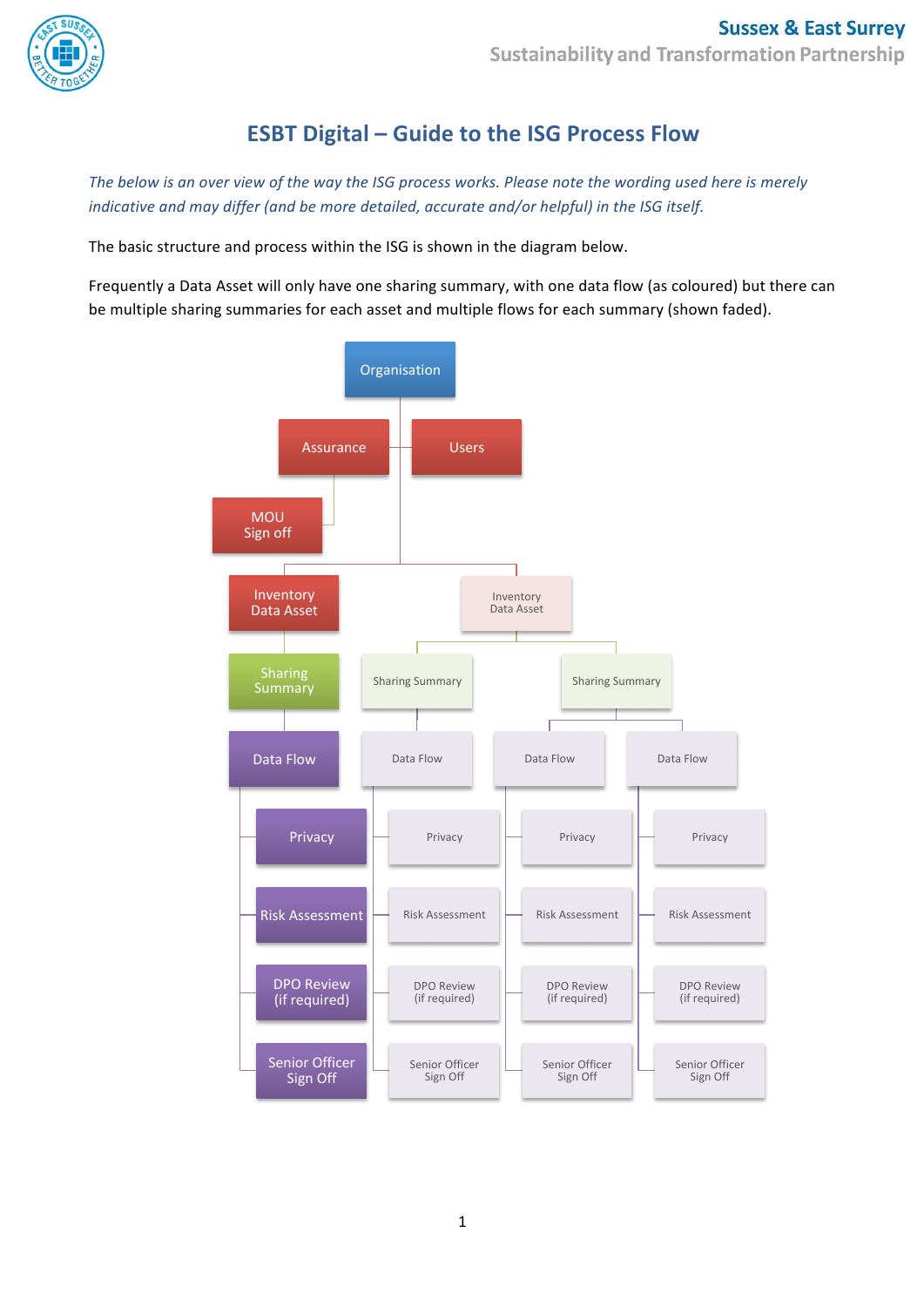

# **ESBT Digital – Guide to the ISG Process Flow**

The below is an over view of the way the ISG process works. Please note the wording used here is merely *indicative* and may differ (and be more detailed, accurate and/or helpful) in the ISG itself.

The basic structure and process within the ISG is shown in the diagram below.

Frequently a Data Asset will only have one sharing summary, with one data flow (as coloured) but there can be multiple sharing summaries for each asset and multiple flows for each summary (shown faded).

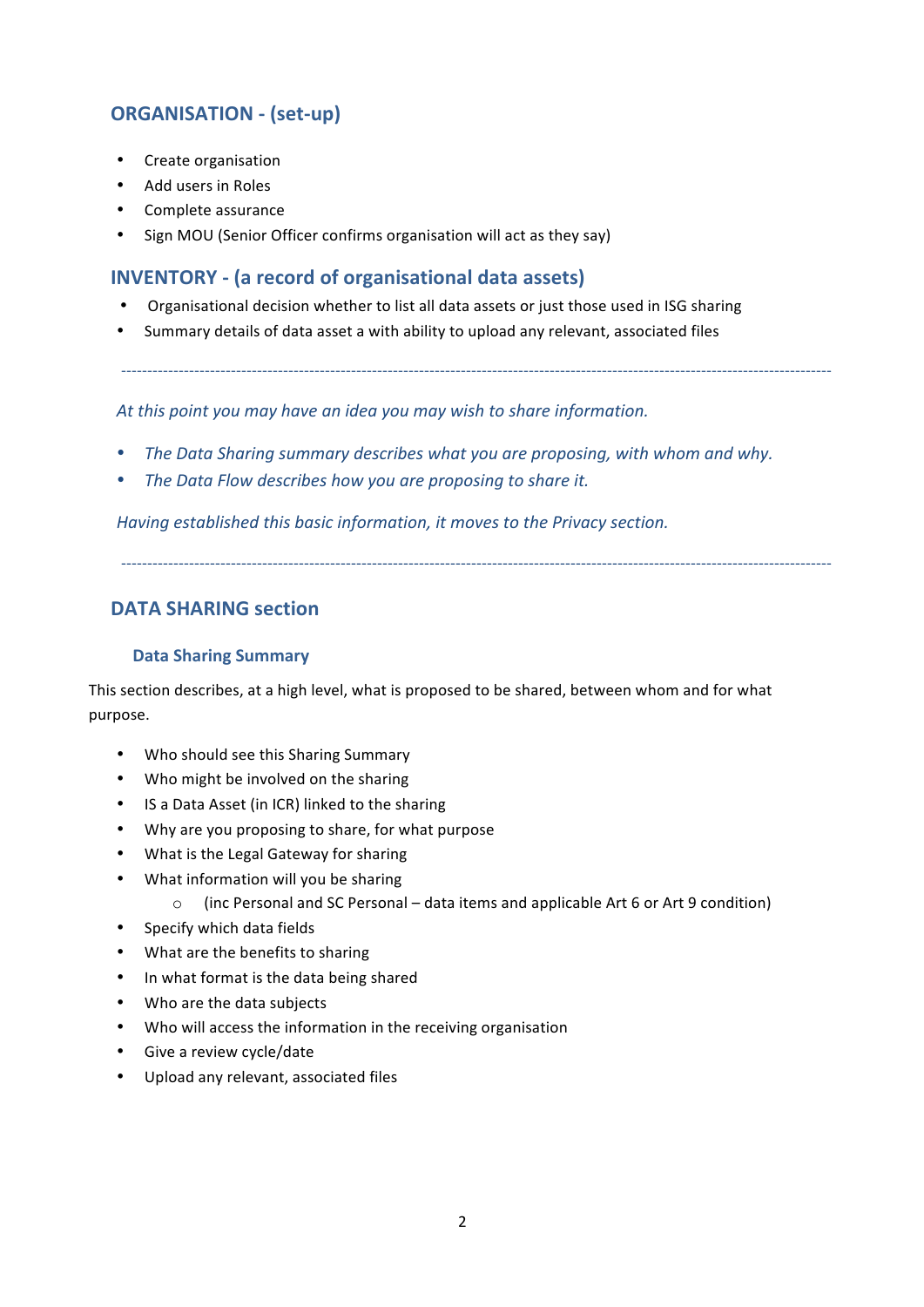## **ORGANISATION - (set-up)**

- Create organisation
- Add users in Roles
- Complete assurance
- Sign MOU (Senior Officer confirms organisation will act as they say)

### **INVENTORY** - (a record of organisational data assets)

- Organisational decision whether to list all data assets or just those used in ISG sharing
- Summary details of data asset a with ability to upload any relevant, associated files

At this point you may have an idea you may wish to share information.

- The Data Sharing summary describes what you are proposing, with whom and why.
- The Data Flow describes how you are proposing to share it.

Having established this basic information, it moves to the Privacy section.

----------------------------------------------------------------------------------------------------------------------------------------

----------------------------------------------------------------------------------------------------------------------------------------

## **DATA SHARING section**

#### **Data Sharing Summary**

This section describes, at a high level, what is proposed to be shared, between whom and for what purpose.

- Who should see this Sharing Summary
- Who might be involved on the sharing
- IS a Data Asset (in ICR) linked to the sharing
- Why are you proposing to share, for what purpose
- What is the Legal Gateway for sharing
- What information will you be sharing
	- $\circ$  (inc Personal and SC Personal data items and applicable Art 6 or Art 9 condition)
- Specify which data fields
- What are the benefits to sharing
- In what format is the data being shared
- Who are the data subjects
- Who will access the information in the receiving organisation
- Give a review cycle/date
- Upload any relevant, associated files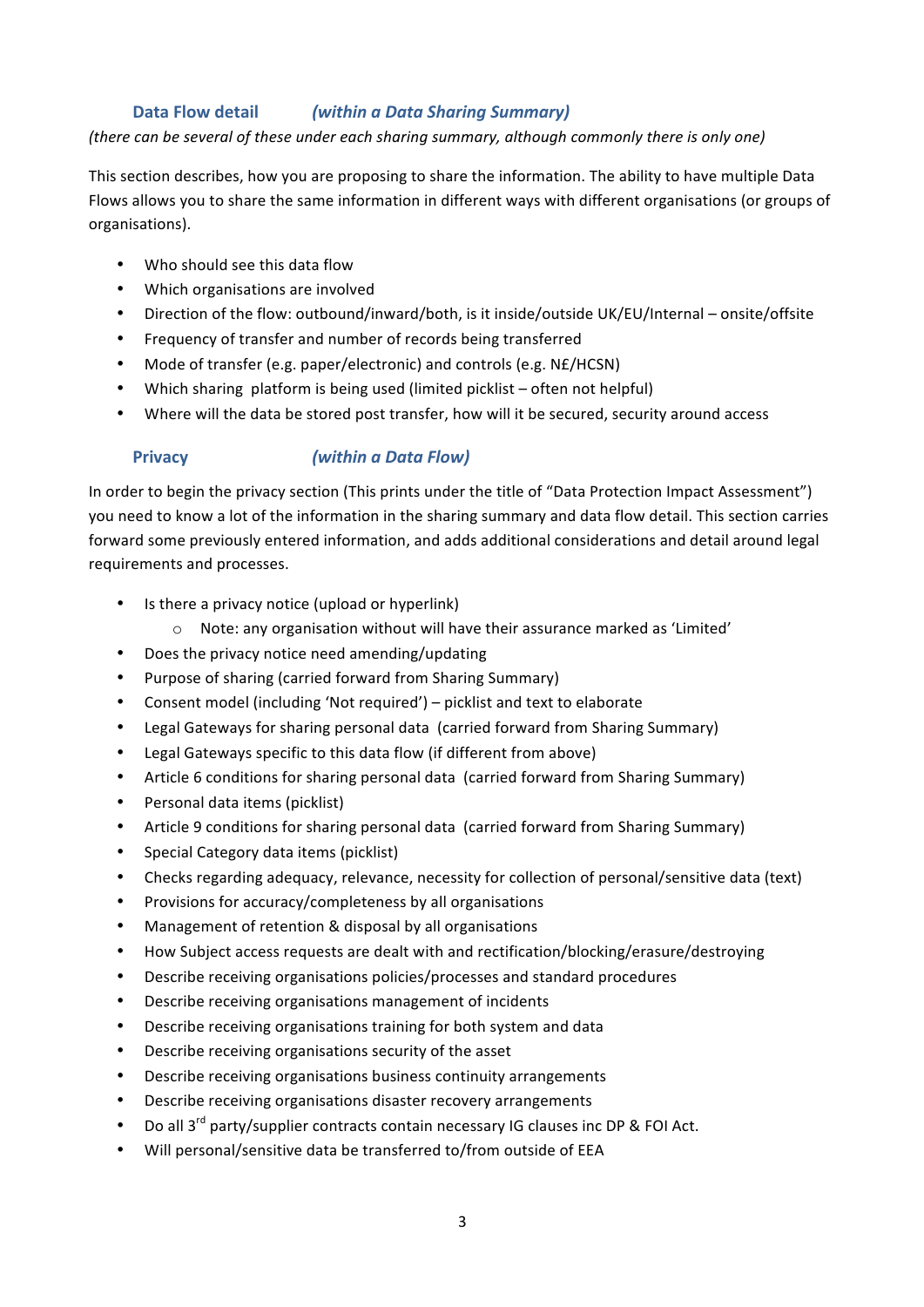#### **Data Flow detail** *(within a Data Sharing Summary)*

#### (there can be several of these under each sharing summary, although commonly there is only one)

This section describes, how you are proposing to share the information. The ability to have multiple Data Flows allows you to share the same information in different ways with different organisations (or groups of organisations).

- Who should see this data flow
- Which organisations are involved
- Direction of the flow: outbound/inward/both, is it inside/outside UK/EU/Internal onsite/offsite
- Frequency of transfer and number of records being transferred
- Mode of transfer (e.g. paper/electronic) and controls (e.g. N£/HCSN)
- Which sharing platform is being used (limited picklist often not helpful)
- Where will the data be stored post transfer, how will it be secured, security around access

#### **Privacy** *(within a Data Flow)*

In order to begin the privacy section (This prints under the title of "Data Protection Impact Assessment") you need to know a lot of the information in the sharing summary and data flow detail. This section carries forward some previously entered information, and adds additional considerations and detail around legal requirements and processes.

- Is there a privacy notice (upload or hyperlink)
	- $\circ$  Note: any organisation without will have their assurance marked as 'Limited'
- Does the privacy notice need amending/updating
- Purpose of sharing (carried forward from Sharing Summary)
- Consent model (including 'Not required') picklist and text to elaborate
- Legal Gateways for sharing personal data (carried forward from Sharing Summary)
- Legal Gateways specific to this data flow (if different from above)
- Article 6 conditions for sharing personal data (carried forward from Sharing Summary)
- Personal data items (picklist)
- Article 9 conditions for sharing personal data (carried forward from Sharing Summary)
- Special Category data items (picklist)
- Checks regarding adequacy, relevance, necessity for collection of personal/sensitive data (text)
- Provisions for accuracy/completeness by all organisations
- Management of retention & disposal by all organisations
- How Subject access requests are dealt with and rectification/blocking/erasure/destroying
- Describe receiving organisations policies/processes and standard procedures
- Describe receiving organisations management of incidents
- Describe receiving organisations training for both system and data
- Describe receiving organisations security of the asset
- Describe receiving organisations business continuity arrangements
- Describe receiving organisations disaster recovery arrangements
- Do all 3<sup>rd</sup> party/supplier contracts contain necessary IG clauses inc DP & FOI Act.
- Will personal/sensitive data be transferred to/from outside of EEA